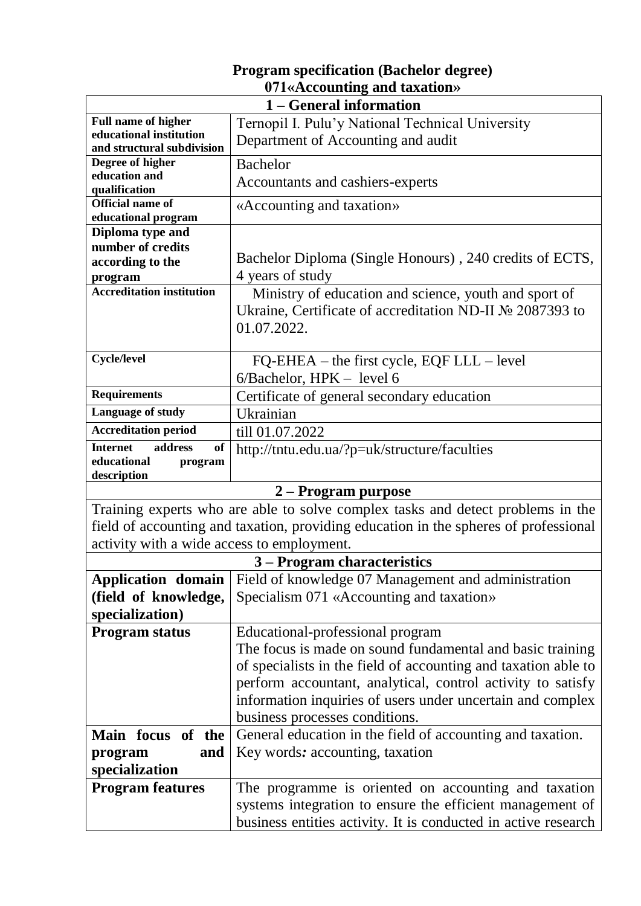| 071«Accounting and taxation»               |                                                                                      |  |
|--------------------------------------------|--------------------------------------------------------------------------------------|--|
| 1 – General information                    |                                                                                      |  |
| <b>Full name of higher</b>                 | Ternopil I. Pulu'y National Technical University                                     |  |
| educational institution                    | Department of Accounting and audit                                                   |  |
| and structural subdivision                 |                                                                                      |  |
| Degree of higher<br>education and          | <b>Bachelor</b>                                                                      |  |
| qualification                              | Accountants and cashiers-experts                                                     |  |
| <b>Official name of</b>                    | «Accounting and taxation»                                                            |  |
| educational program                        |                                                                                      |  |
| Diploma type and                           |                                                                                      |  |
| number of credits                          |                                                                                      |  |
| according to the                           | Bachelor Diploma (Single Honours), 240 credits of ECTS,                              |  |
| program                                    | 4 years of study                                                                     |  |
| <b>Accreditation institution</b>           | Ministry of education and science, youth and sport of                                |  |
|                                            | Ukraine, Certificate of accreditation ND-II № 2087393 to                             |  |
|                                            | 01.07.2022.                                                                          |  |
|                                            |                                                                                      |  |
| <b>Cycle/level</b>                         | $FQ-EHEA -$ the first cycle, $EQF LLL -$ level                                       |  |
|                                            | $6/Bachelor$ , HPK – level 6                                                         |  |
| <b>Requirements</b>                        |                                                                                      |  |
| Language of study                          | Certificate of general secondary education                                           |  |
|                                            | Ukrainian                                                                            |  |
| <b>Accreditation period</b>                | till 01.07.2022                                                                      |  |
| <b>Internet</b><br>address<br>of           | http://tntu.edu.ua/?p=uk/structure/faculties                                         |  |
| educational<br>program<br>description      |                                                                                      |  |
|                                            | 2 – Program purpose                                                                  |  |
|                                            | Training experts who are able to solve complex tasks and detect problems in the      |  |
|                                            | field of accounting and taxation, providing education in the spheres of professional |  |
|                                            |                                                                                      |  |
| activity with a wide access to employment. |                                                                                      |  |
|                                            | 3 – Program characteristics                                                          |  |
| <b>Application domain</b>                  | Field of knowledge 07 Management and administration                                  |  |
| (field of knowledge,                       | Specialism 071 «Accounting and taxation»                                             |  |
| specialization)                            |                                                                                      |  |
| <b>Program status</b>                      | Educational-professional program                                                     |  |
|                                            | The focus is made on sound fundamental and basic training                            |  |
|                                            | of specialists in the field of accounting and taxation able to                       |  |
|                                            | perform accountant, analytical, control activity to satisfy                          |  |
|                                            | information inquiries of users under uncertain and complex                           |  |
|                                            |                                                                                      |  |
|                                            | business processes conditions.                                                       |  |
| Main focus of the                          | General education in the field of accounting and taxation.                           |  |
| and<br>program                             | Key words: accounting, taxation                                                      |  |
| specialization                             |                                                                                      |  |
| <b>Program features</b>                    | The programme is oriented on accounting and taxation                                 |  |
|                                            |                                                                                      |  |
|                                            | systems integration to ensure the efficient management of                            |  |

**Program specification (Bachelor degree)**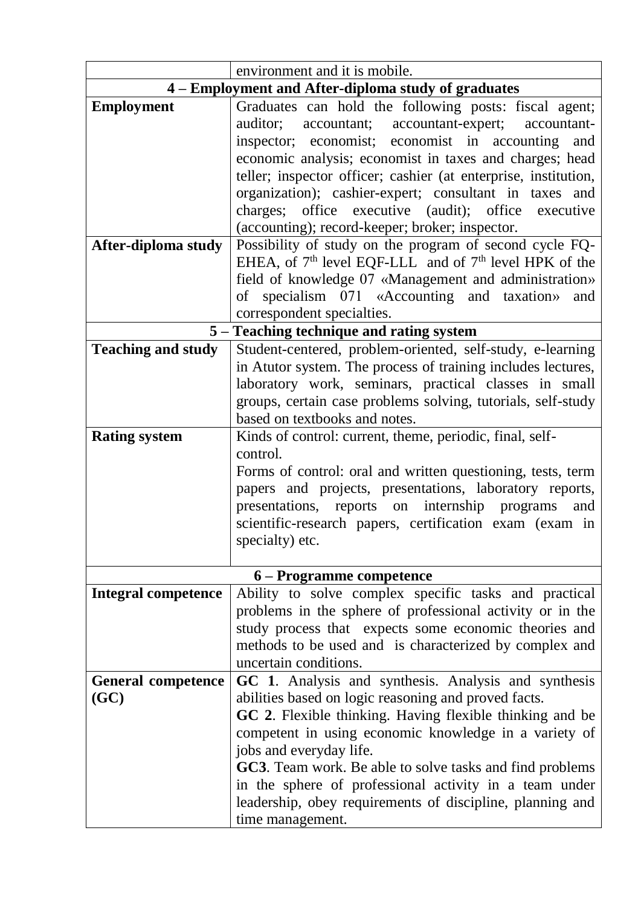|                                   | environment and it is mobile.                                                                                              |
|-----------------------------------|----------------------------------------------------------------------------------------------------------------------------|
|                                   | 4 – Employment and After-diploma study of graduates                                                                        |
| <b>Employment</b>                 | Graduates can hold the following posts: fiscal agent;                                                                      |
|                                   | auditor;<br>accountant; accountant-expert;<br>accountant-                                                                  |
|                                   | inspector; economist; economist in accounting<br>and                                                                       |
|                                   | economic analysis; economist in taxes and charges; head                                                                    |
|                                   | teller; inspector officer; cashier (at enterprise, institution,                                                            |
|                                   | organization); cashier-expert; consultant in taxes and                                                                     |
|                                   | charges; office executive (audit); office executive                                                                        |
|                                   | (accounting); record-keeper; broker; inspector.                                                                            |
| After-diploma study               | Possibility of study on the program of second cycle FQ-                                                                    |
|                                   | EHEA, of $7th$ level EQF-LLL and of $7th$ level HPK of the                                                                 |
|                                   | field of knowledge 07 «Management and administration»                                                                      |
|                                   | of specialism 071 «Accounting and taxation»<br>and                                                                         |
|                                   | correspondent specialties.                                                                                                 |
|                                   | 5 – Teaching technique and rating system                                                                                   |
| <b>Teaching and study</b>         | Student-centered, problem-oriented, self-study, e-learning                                                                 |
|                                   | in Atutor system. The process of training includes lectures,                                                               |
|                                   | laboratory work, seminars, practical classes in small                                                                      |
|                                   | groups, certain case problems solving, tutorials, self-study                                                               |
|                                   | based on textbooks and notes.                                                                                              |
| <b>Rating system</b>              | Kinds of control: current, theme, periodic, final, self-                                                                   |
|                                   | control.                                                                                                                   |
|                                   | Forms of control: oral and written questioning, tests, term                                                                |
|                                   | papers and projects, presentations, laboratory reports,                                                                    |
|                                   | presentations, reports on internship programs<br>and                                                                       |
|                                   | scientific-research papers, certification exam (exam in                                                                    |
|                                   | specialty) etc.                                                                                                            |
|                                   |                                                                                                                            |
|                                   | 6 – Programme competence                                                                                                   |
| <b>Integral competence</b>        | Ability to solve complex specific tasks and practical                                                                      |
|                                   | problems in the sphere of professional activity or in the                                                                  |
|                                   | study process that expects some economic theories and                                                                      |
|                                   | methods to be used and is characterized by complex and<br>uncertain conditions.                                            |
|                                   | GC 1. Analysis and synthesis. Analysis and synthesis                                                                       |
| <b>General competence</b><br>(GC) | abilities based on logic reasoning and proved facts.                                                                       |
|                                   | GC 2. Flexible thinking. Having flexible thinking and be                                                                   |
|                                   |                                                                                                                            |
|                                   | competent in using economic knowledge in a variety of<br>jobs and everyday life.                                           |
|                                   |                                                                                                                            |
|                                   | <b>GC3</b> . Team work. Be able to solve tasks and find problems<br>in the sphere of professional activity in a team under |
|                                   | leadership, obey requirements of discipline, planning and                                                                  |
|                                   | time management.                                                                                                           |
|                                   |                                                                                                                            |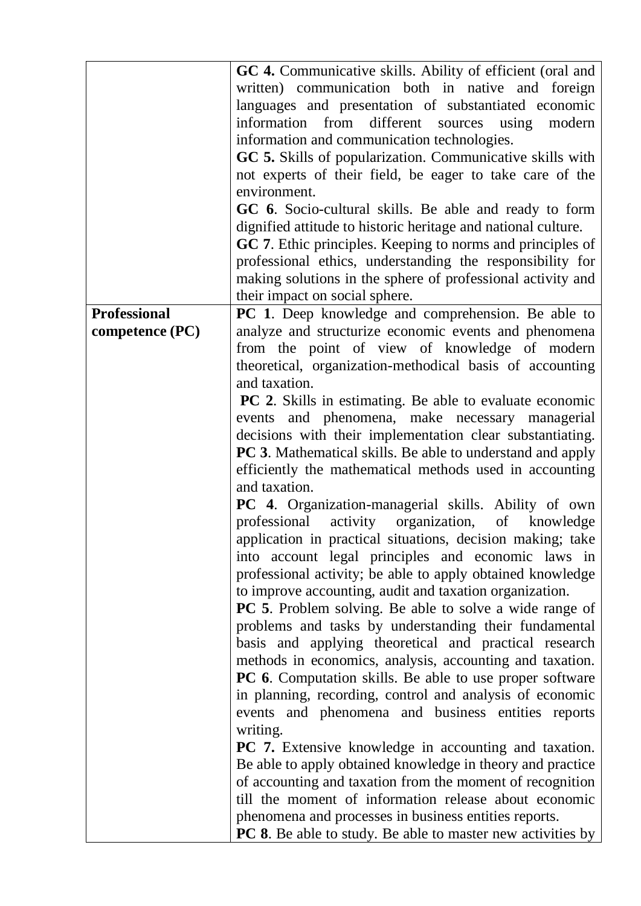| GC 4. Communicative skills. Ability of efficient (oral and         |
|--------------------------------------------------------------------|
| written) communication both in native and foreign                  |
| languages and presentation of substantiated economic               |
| information from different sources using modern                    |
|                                                                    |
|                                                                    |
| GC 5. Skills of popularization. Communicative skills with          |
| not experts of their field, be eager to take care of the           |
|                                                                    |
| GC 6. Socio-cultural skills. Be able and ready to form             |
| dignified attitude to historic heritage and national culture.      |
| GC 7. Ethic principles. Keeping to norms and principles of         |
| professional ethics, understanding the responsibility for          |
| making solutions in the sphere of professional activity and        |
|                                                                    |
| PC 1. Deep knowledge and comprehension. Be able to                 |
| analyze and structurize economic events and phenomena              |
| from the point of view of knowledge of modern                      |
| theoretical, organization-methodical basis of accounting           |
|                                                                    |
|                                                                    |
| <b>PC 2.</b> Skills in estimating. Be able to evaluate economic    |
| events and phenomena, make necessary managerial                    |
| decisions with their implementation clear substantiating.          |
| <b>PC 3.</b> Mathematical skills. Be able to understand and apply  |
| efficiently the mathematical methods used in accounting            |
|                                                                    |
| <b>PC</b> 4. Organization-managerial skills. Ability of own        |
| professional activity organization, of knowledge                   |
| application in practical situations, decision making; take         |
| into account legal principles and economic laws in                 |
| professional activity; be able to apply obtained knowledge         |
|                                                                    |
| <b>PC</b> 5. Problem solving. Be able to solve a wide range of     |
| problems and tasks by understanding their fundamental              |
|                                                                    |
| basis and applying theoretical and practical research              |
| methods in economics, analysis, accounting and taxation.           |
| <b>PC 6.</b> Computation skills. Be able to use proper software    |
| in planning, recording, control and analysis of economic           |
| events and phenomena and business entities reports                 |
|                                                                    |
| PC 7. Extensive knowledge in accounting and taxation.              |
| Be able to apply obtained knowledge in theory and practice         |
| of accounting and taxation from the moment of recognition          |
| till the moment of information release about economic              |
|                                                                    |
| <b>PC 8.</b> Be able to study. Be able to master new activities by |
|                                                                    |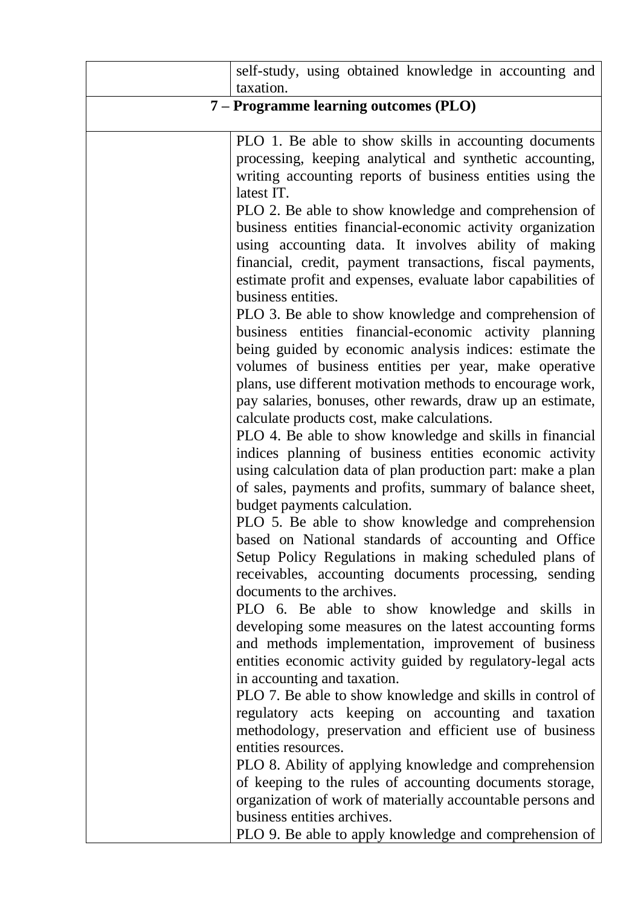|                                       | self-study, using obtained knowledge in accounting and<br>taxation.                                                                                                                                                                                                                                                                                                                                                                                                        |  |
|---------------------------------------|----------------------------------------------------------------------------------------------------------------------------------------------------------------------------------------------------------------------------------------------------------------------------------------------------------------------------------------------------------------------------------------------------------------------------------------------------------------------------|--|
| 7 – Programme learning outcomes (PLO) |                                                                                                                                                                                                                                                                                                                                                                                                                                                                            |  |
|                                       | PLO 1. Be able to show skills in accounting documents<br>processing, keeping analytical and synthetic accounting,<br>writing accounting reports of business entities using the<br>latest IT.                                                                                                                                                                                                                                                                               |  |
|                                       | PLO 2. Be able to show knowledge and comprehension of<br>business entities financial-economic activity organization<br>using accounting data. It involves ability of making<br>financial, credit, payment transactions, fiscal payments,<br>estimate profit and expenses, evaluate labor capabilities of<br>business entities.                                                                                                                                             |  |
|                                       | PLO 3. Be able to show knowledge and comprehension of<br>business entities financial-economic activity planning<br>being guided by economic analysis indices: estimate the<br>volumes of business entities per year, make operative<br>plans, use different motivation methods to encourage work,<br>pay salaries, bonuses, other rewards, draw up an estimate,<br>calculate products cost, make calculations.<br>PLO 4. Be able to show knowledge and skills in financial |  |
|                                       | indices planning of business entities economic activity<br>using calculation data of plan production part: make a plan<br>of sales, payments and profits, summary of balance sheet,<br>budget payments calculation.<br>PLO 5. Be able to show knowledge and comprehension                                                                                                                                                                                                  |  |
|                                       | based on National standards of accounting and Office<br>Setup Policy Regulations in making scheduled plans of<br>receivables, accounting documents processing, sending<br>documents to the archives.<br>PLO 6. Be able to show knowledge and skills in                                                                                                                                                                                                                     |  |
|                                       | developing some measures on the latest accounting forms<br>and methods implementation, improvement of business<br>entities economic activity guided by regulatory-legal acts<br>in accounting and taxation.                                                                                                                                                                                                                                                                |  |
|                                       | PLO 7. Be able to show knowledge and skills in control of<br>regulatory acts keeping on accounting and taxation<br>methodology, preservation and efficient use of business<br>entities resources.                                                                                                                                                                                                                                                                          |  |
|                                       | PLO 8. Ability of applying knowledge and comprehension<br>of keeping to the rules of accounting documents storage,<br>organization of work of materially accountable persons and<br>business entities archives.                                                                                                                                                                                                                                                            |  |
|                                       | PLO 9. Be able to apply knowledge and comprehension of                                                                                                                                                                                                                                                                                                                                                                                                                     |  |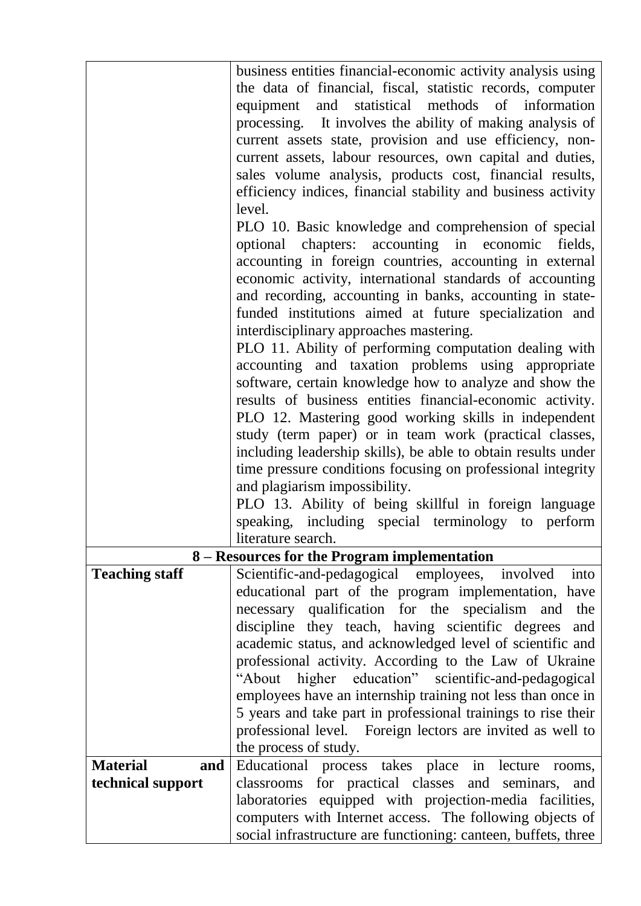|                        | business entities financial-economic activity analysis using<br>the data of financial, fiscal, statistic records, computer |
|------------------------|----------------------------------------------------------------------------------------------------------------------------|
|                        | equipment and statistical methods of information                                                                           |
|                        | processing. It involves the ability of making analysis of<br>current assets state, provision and use efficiency, non-      |
|                        | current assets, labour resources, own capital and duties,                                                                  |
|                        | sales volume analysis, products cost, financial results,                                                                   |
|                        | efficiency indices, financial stability and business activity                                                              |
|                        | level.                                                                                                                     |
|                        | PLO 10. Basic knowledge and comprehension of special                                                                       |
|                        | optional chapters: accounting in economic fields,                                                                          |
|                        | accounting in foreign countries, accounting in external                                                                    |
|                        | economic activity, international standards of accounting<br>and recording, accounting in banks, accounting in state-       |
|                        | funded institutions aimed at future specialization and                                                                     |
|                        | interdisciplinary approaches mastering.                                                                                    |
|                        | PLO 11. Ability of performing computation dealing with                                                                     |
|                        | accounting and taxation problems using appropriate                                                                         |
|                        | software, certain knowledge how to analyze and show the                                                                    |
|                        | results of business entities financial-economic activity.<br>PLO 12. Mastering good working skills in independent          |
|                        | study (term paper) or in team work (practical classes,                                                                     |
|                        | including leadership skills), be able to obtain results under                                                              |
|                        | time pressure conditions focusing on professional integrity                                                                |
|                        | and plagiarism impossibility.                                                                                              |
|                        | PLO 13. Ability of being skillful in foreign language                                                                      |
|                        | speaking, including special terminology to perform                                                                         |
|                        | literature search.<br>8 – Resources for the Program implementation                                                         |
| <b>Teaching staff</b>  | Scientific-and-pedagogical employees,<br>involved<br>into                                                                  |
|                        | educational part of the program implementation, have                                                                       |
|                        | necessary qualification for the specialism and<br>the                                                                      |
|                        | discipline they teach, having scientific degrees<br>and                                                                    |
|                        | academic status, and acknowledged level of scientific and                                                                  |
|                        | professional activity. According to the Law of Ukraine<br>"About<br>higher education" scientific-and-pedagogical           |
|                        | employees have an internship training not less than once in                                                                |
|                        | 5 years and take part in professional trainings to rise their                                                              |
|                        | professional level. Foreign lectors are invited as well to                                                                 |
|                        | the process of study.                                                                                                      |
| <b>Material</b><br>and | Educational process takes place in lecture<br>rooms,                                                                       |
| technical support      | classrooms for practical classes and seminars,<br>and<br>laboratories equipped with projection-media facilities,           |
|                        | computers with Internet access. The following objects of                                                                   |
|                        | social infrastructure are functioning: canteen, buffets, three                                                             |